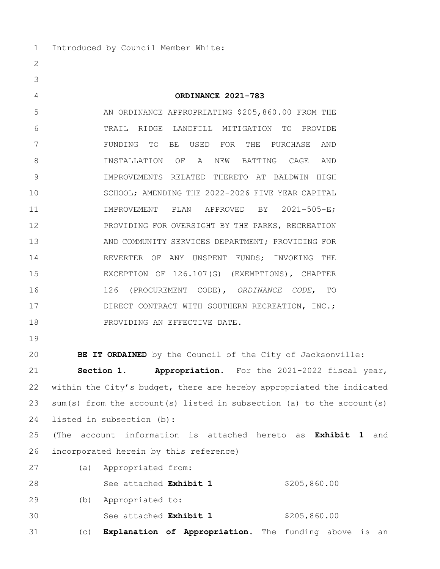1 Introduced by Council Member White:

## **ORDINANCE 2021-783**

5 AN ORDINANCE APPROPRIATING \$205,860.00 FROM THE TRAIL RIDGE LANDFILL MITIGATION TO PROVIDE FUNDING TO BE USED FOR THE PURCHASE AND INSTALLATION OF A NEW BATTING CAGE AND IMPROVEMENTS RELATED THERETO AT BALDWIN HIGH 10 SCHOOL; AMENDING THE 2022-2026 FIVE YEAR CAPITAL IMPROVEMENT PLAN APPROVED BY 2021-505-E; 12 PROVIDING FOR OVERSIGHT BY THE PARKS, RECREATION 13 AND COMMUNITY SERVICES DEPARTMENT; PROVIDING FOR 14 REVERTER OF ANY UNSPENT FUNDS; INVOKING THE EXCEPTION OF 126.107(G) (EXEMPTIONS), CHAPTER 126 (PROCUREMENT CODE), *ORDINANCE CODE*, TO 17 DIRECT CONTRACT WITH SOUTHERN RECREATION, INC.; 18 PROVIDING AN EFFECTIVE DATE.

**BE IT ORDAINED** by the Council of the City of Jacksonville:

 **Section 1. Appropriation.** For the 2021-2022 fiscal year, within the City's budget, there are hereby appropriated the indicated sum(s) from the account(s) listed in subsection (a) to the account(s) listed in subsection (b):

 (The account information is attached hereto as **Exhibit 1** and 26 incorporated herein by this reference)

 (a) Appropriated from: 28 See attached **Exhibit 1** \$205,860.00 (b) Appropriated to: See attached **Exhibit 1** \$205,860.00 (c) **Explanation of Appropriation.** The funding above is an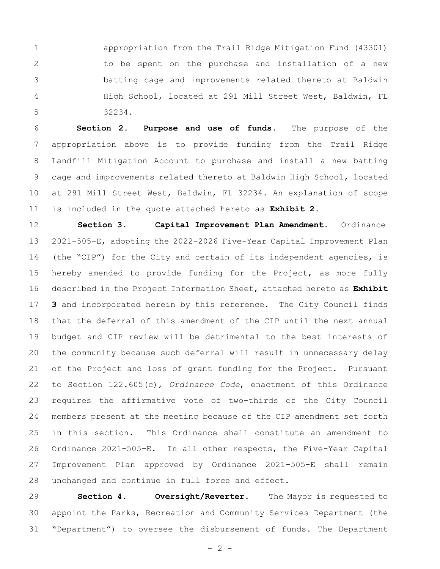appropriation from the Trail Ridge Mitigation Fund (43301) 2 to be spent on the purchase and installation of a new batting cage and improvements related thereto at Baldwin 4 High School, located at 291 Mill Street West, Baldwin, FL 32234.

 **Section 2**. **Purpose and use of funds.** The purpose of the appropriation above is to provide funding from the Trail Ridge Landfill Mitigation Account to purchase and install a new batting cage and improvements related thereto at Baldwin High School, located at 291 Mill Street West, Baldwin, FL 32234. An explanation of scope is included in the quote attached hereto as **Exhibit 2.**

 **Section 3. Capital Improvement Plan Amendment.** Ordinance 2021-505-E, adopting the 2022-2026 Five-Year Capital Improvement Plan (the "CIP") for the City and certain of its independent agencies, is hereby amended to provide funding for the Project, as more fully described in the Project Information Sheet, attached hereto as **Exhibit 3** and incorporated herein by this reference. The City Council finds that the deferral of this amendment of the CIP until the next annual budget and CIP review will be detrimental to the best interests of the community because such deferral will result in unnecessary delay 21 of the Project and loss of grant funding for the Project. Pursuant to Section 122.605(c), *Ordinance Code*, enactment of this Ordinance requires the affirmative vote of two-thirds of the City Council members present at the meeting because of the CIP amendment set forth in this section. This Ordinance shall constitute an amendment to Ordinance 2021-505-E. In all other respects, the Five-Year Capital Improvement Plan approved by Ordinance 2021-505-E shall remain 28 unchanged and continue in full force and effect.

 **Section 4. Oversight/Reverter.** The Mayor is requested to appoint the Parks, Recreation and Community Services Department (the "Department") to oversee the disbursement of funds. The Department

 $-2 -$